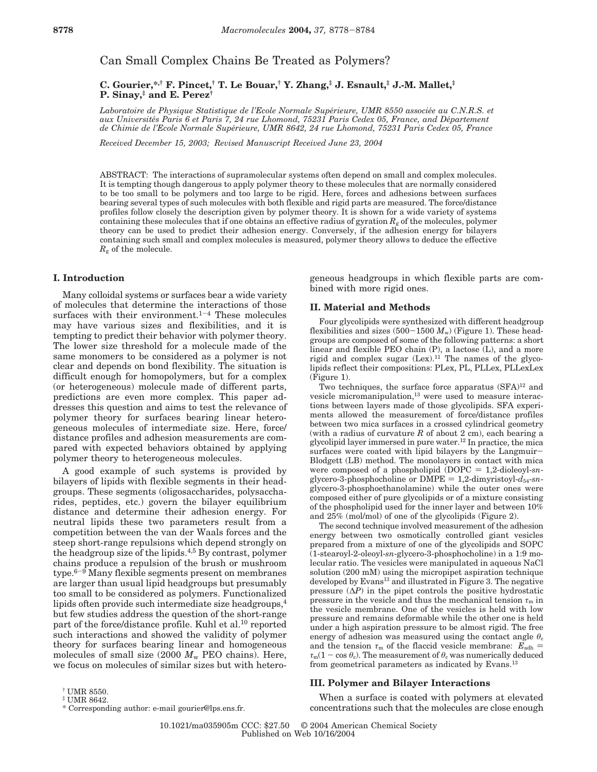# Can Small Complex Chains Be Treated as Polymers?

# **C. Gourier,\*,† F. Pincet,† T. Le Bouar,† Y. Zhang,‡ J. Esnault,‡ J.-M. Mallet,‡ P. Sinay,‡ and E. Perez†**

*Laboratoire de Physique Statistique de l'Ecole Normale Supe*´*rieure, UMR 8550 associe*´*e au C.N.R.S. et aux Universite*´*s Paris 6 et Paris 7, 24 rue Lhomond, 75231 Paris Cedex 05, France, and De*´*partement de Chimie de l'Ecole Normale Supe*´*rieure, UMR 8642, 24 rue Lhomond, 75231 Paris Cedex 05, France*

*Received December 15, 2003; Revised Manuscript Received June 23, 2004*

ABSTRACT: The interactions of supramolecular systems often depend on small and complex molecules. It is tempting though dangerous to apply polymer theory to these molecules that are normally considered to be too small to be polymers and too large to be rigid. Here, forces and adhesions between surfaces bearing several types of such molecules with both flexible and rigid parts are measured. The force/distance profiles follow closely the description given by polymer theory. It is shown for a wide variety of systems containing these molecules that if one obtains an effective radius of gyration  $R_g$  of the molecules, polymer theory can be used to predict their adhesion energy. Conversely, if the adhesion energy for bilayers containing such small and complex molecules is measured, polymer theory allows to deduce the effective *R*<sup>g</sup> of the molecule.

# **I. Introduction**

Many colloidal systems or surfaces bear a wide variety of molecules that determine the interactions of those surfaces with their environment. $1-4$  These molecules may have various sizes and flexibilities, and it is tempting to predict their behavior with polymer theory. The lower size threshold for a molecule made of the same monomers to be considered as a polymer is not clear and depends on bond flexibility. The situation is difficult enough for homopolymers, but for a complex (or heterogeneous) molecule made of different parts, predictions are even more complex. This paper addresses this question and aims to test the relevance of polymer theory for surfaces bearing linear heterogeneous molecules of intermediate size. Here, force/ distance profiles and adhesion measurements are compared with expected behaviors obtained by applying polymer theory to heterogeneous molecules.

A good example of such systems is provided by bilayers of lipids with flexible segments in their headgroups. These segments (oligosaccharides, polysaccharides, peptides, etc.) govern the bilayer equilibrium distance and determine their adhesion energy. For neutral lipids these two parameters result from a competition between the van der Waals forces and the steep short-range repulsions which depend strongly on the headgroup size of the lipids.4,5 By contrast, polymer chains produce a repulsion of the brush or mushroom type. $6-9$  Many flexible segments present on membranes are larger than usual lipid headgroups but presumably too small to be considered as polymers. Functionalized lipids often provide such intermediate size headgroups,<sup>4</sup> but few studies address the question of the short-range part of the force/distance profile. Kuhl et al.<sup>10</sup> reported such interactions and showed the validity of polymer theory for surfaces bearing linear and homogeneous molecules of small size  $(2000 M_w$  PEO chains). Here, we focus on molecules of similar sizes but with heterogeneous headgroups in which flexible parts are combined with more rigid ones.

#### **II. Material and Methods**

Four glycolipids were synthesized with different headgroup flexibilities and sizes  $(500-1500 M_w)$  (Figure 1). These headgroups are composed of some of the following patterns: a short linear and flexible PEO chain (P), a lactose (L), and a more rigid and complex sugar (Lex).11 The names of the glycolipids reflect their compositions: PLex, PL, PLLex, PLLexLex (Figure 1).

Two techniques, the surface force apparatus (SFA)<sup>12</sup> and vesicle micromanipulation,<sup>13</sup> were used to measure interactions between layers made of those glycolipids. SFA experiments allowed the measurement of force/distance profiles between two mica surfaces in a crossed cylindrical geometry (with a radius of curvature  $R$  of about  $2$  cm), each bearing a glycolipid layer immersed in pure water.12 In practice, the mica surfaces were coated with lipid bilayers by the Langmuir-Blodgett (LB) method. The monolayers in contact with mica were composed of a phospholipid (DOPC = 1,2-dioleoyl-snglycero-3-phosphocholine or  $\overline{DMPE} = 1,2$ -dimyristoyl- $\overline{d}_{54}$ -snglycero-3-phosphoethanolamine) while the outer ones were composed either of pure glycolipids or of a mixture consisting of the phospholipid used for the inner layer and between 10% and 25% (mol/mol) of one of the glycolipids (Figure 2).

The second technique involved measurement of the adhesion energy between two osmotically controlled giant vesicles prepared from a mixture of one of the glycolipids and SOPC (1-stearoyl-2-oleoyl-*sn*-glycero-3-phosphocholine) in a 1:9 molecular ratio. The vesicles were manipulated in aqueous NaCl solution (200 mM) using the micropipet aspiration technique developed by Evans<sup>13</sup> and illustrated in Figure 3. The negative pressure  $(\Delta P)$  in the pipet controls the positive hydrostatic pressure in the vesicle and thus the mechanical tension  $\tau_m$  in the vesicle membrane. One of the vesicles is held with low pressure and remains deformable while the other one is held under a high aspiration pressure to be almost rigid. The free energy of adhesion was measured using the contact angle  $\theta_c$ and the tension  $\tau_{\rm m}$  of the flaccid vesicle membrane:  $E_{\rm adh}$  =  $\tau_{\rm m}(1-\cos\theta_{\rm c})$ . The measurement of  $\theta_{\rm c}$  was numerically deduced from geometrical parameters as indicated by Evans.<sup>13</sup>

# **III. Polymer and Bilayer Interactions**

\* Corresponding author: e-mail gourier@lps.ens.fr.

When a surface is coated with polymers at elevated concentrations such that the molecules are close enough

<sup>†</sup> UMR 8550.

<sup>‡</sup> UMR 8642.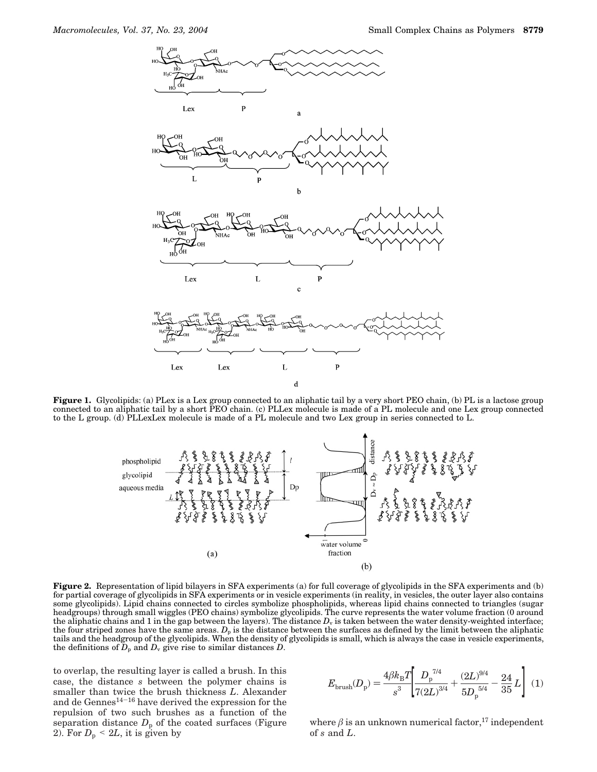

**Figure 1.** Glycolipids: (a) PLex is a Lex group connected to an aliphatic tail by a very short PEO chain, (b) PL is a lactose group connected to an aliphatic tail by a short PEO chain. (c) PLLex molecule is made of a PL molecule and one Lex group connected to the L group. (d) PLLexLex molecule is made of a PL molecule and two Lex group in series connected to L.



**Figure 2.** Representation of lipid bilayers in SFA experiments (a) for full coverage of glycolipids in the SFA experiments and (b) for partial coverage of glycolipids in SFA experiments or in vesicle experiments (in reality, in vesicles, the outer layer also contains some glycolipids). Lipid chains connected to circles symbolize phospholipids, whereas lipid chains connected to triangles (sugar headgroups) through small wiggles (PEO chains) symbolize glycolipids. The curve represents the water volume fraction (0 around the aliphatic chains and 1 in the gap between the layers). The distance  $D_v$  is taken between the water density-weighted interface; the four striped zones have the same areas.  $D_p$  is the distance between the surfaces as defined by the limit between the aliphatic tails and the headgroup of the glycolipids. When the density of glycolipids is small, which is always the case in vesicle experiments, the definitions of  $D_p$  and  $D_v$  give rise to similar distances  $D$ .

to overlap, the resulting layer is called a brush. In this case, the distance *s* between the polymer chains is smaller than twice the brush thickness *L*. Alexander and de Gennes<sup>14-16</sup> have derived the expression for the repulsion of two such brushes as a function of the separation distance  $D_{\rm p}$  of the coated surfaces (Figure 2). For  $D_p < 2L$ , it is given by

$$
E_{\text{brush}}(D_{\text{p}}) = \frac{4\beta k_{\text{B}}T}{s^3} \left[ \frac{D_{\text{p}}^{7/4}}{7(2L)^{3/4}} + \frac{(2L)^{9/4}}{5D_{\text{p}}} - \frac{24}{35}L \right] (1)
$$

where  $\beta$  is an unknown numerical factor,<sup>17</sup> independent of *s* and *L*.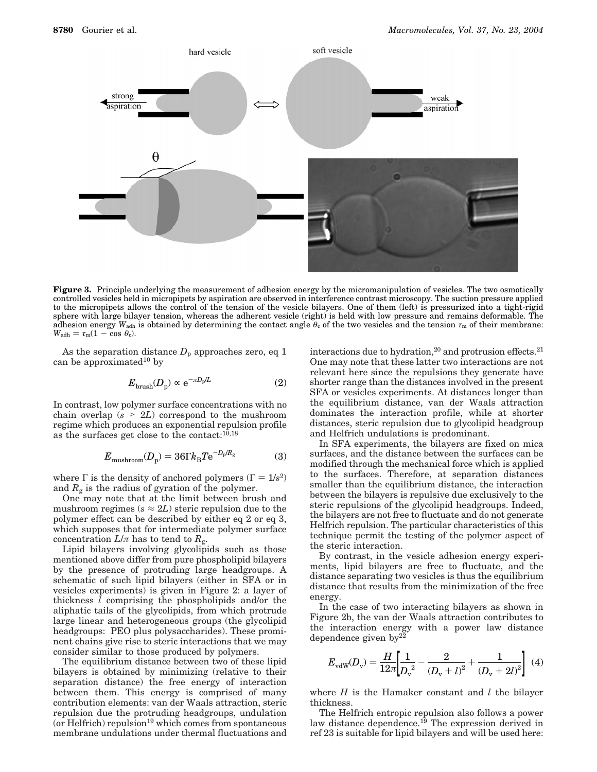

Figure 3. Principle underlying the measurement of adhesion energy by the micromanipulation of vesicles. The two osmotically controlled vesicles held in micropipets by aspiration are observed in interference contrast microscopy. The suction pressure applied to the micropipets allows the control of the tension of the vesicle bilayers. One of them (left) is pressurized into a tight-rigid sphere with large bilayer tension, whereas the adherent vesicle (right) is held with low pressure and remains deformable. The adhesion energy  $W_{\text{adh}}$  is obtained by determining the contact angle  $\theta_c$  of the two vesicles and the tension  $\tau_m$  of their membrane:  $W_{\text{adh}} = \tau_{\text{m}}(1 - \cos \theta_{\text{c}}).$ 

As the separation distance  $D_p$  approaches zero, eq 1 can be approximated $10$  by

$$
E_{\text{brush}}(D_{\text{p}}) \propto e^{-\pi D_{\text{p}}/L} \tag{2}
$$

In contrast, low polymer surface concentrations with no chain overlap  $(s > 2L)$  correspond to the mushroom regime which produces an exponential repulsion profile as the surfaces get close to the contact: $10,18$ 

$$
E_{\text{mushroom}}(D_{\text{p}}) = 36\Gamma k_{\text{B}} T \text{e}^{-D_{\text{p}}/R_{\text{g}}}
$$
 (3)

where  $\Gamma$  is the density of anchored polymers ( $\Gamma = 1/s^2$ ) and  $R_g$  is the radius of gyration of the polymer.

One may note that at the limit between brush and mushroom regimes ( $s \approx 2L$ ) steric repulsion due to the polymer effect can be described by either eq 2 or eq 3, which supposes that for intermediate polymer surface concentration  $L/\pi$  has to tend to  $R_{\rm g}$ .

Lipid bilayers involving glycolipids such as those mentioned above differ from pure phospholipid bilayers by the presence of protruding large headgroups. A schematic of such lipid bilayers (either in SFA or in vesicles experiments) is given in Figure 2: a layer of thickness *l* comprising the phospholipids and/or the aliphatic tails of the glycolipids, from which protrude large linear and heterogeneous groups (the glycolipid headgroups: PEO plus polysaccharides). These prominent chains give rise to steric interactions that we may consider similar to those produced by polymers.

The equilibrium distance between two of these lipid bilayers is obtained by minimizing (relative to their separation distance) the free energy of interaction between them. This energy is comprised of many contribution elements: van der Waals attraction, steric repulsion due the protruding headgroups, undulation  $($ or Helfrich $)$  repulsion<sup>19</sup> which comes from spontaneous membrane undulations under thermal fluctuations and

interactions due to hydration,<sup>20</sup> and protrusion effects.<sup>21</sup> One may note that these latter two interactions are not relevant here since the repulsions they generate have shorter range than the distances involved in the present SFA or vesicles experiments. At distances longer than the equilibrium distance, van der Waals attraction dominates the interaction profile, while at shorter distances, steric repulsion due to glycolipid headgroup and Helfrich undulations is predominant.

In SFA experiments, the bilayers are fixed on mica surfaces, and the distance between the surfaces can be modified through the mechanical force which is applied to the surfaces. Therefore, at separation distances smaller than the equilibrium distance, the interaction between the bilayers is repulsive due exclusively to the steric repulsions of the glycolipid headgroups. Indeed, the bilayers are not free to fluctuate and do not generate Helfrich repulsion. The particular characteristics of this technique permit the testing of the polymer aspect of the steric interaction.

By contrast, in the vesicle adhesion energy experiments, lipid bilayers are free to fluctuate, and the distance separating two vesicles is thus the equilibrium distance that results from the minimization of the free energy.

In the case of two interacting bilayers as shown in Figure 2b, the van der Waals attraction contributes to the interaction energy with a power law distance dependence given  $by^{22}$ 

$$
E_{\text{vdW}}(D_{\text{v}}) = \frac{H}{12\pi} \left[ \frac{1}{D_{\text{v}}^2} - \frac{2}{(D_{\text{v}} + l)^2} + \frac{1}{(D_{\text{v}} + 2l)^2} \right] (4)
$$

where  $H$  is the Hamaker constant and  $l$  the bilayer thickness.

The Helfrich entropic repulsion also follows a power law distance dependence.<sup>19</sup> The expression derived in ref 23 is suitable for lipid bilayers and will be used here: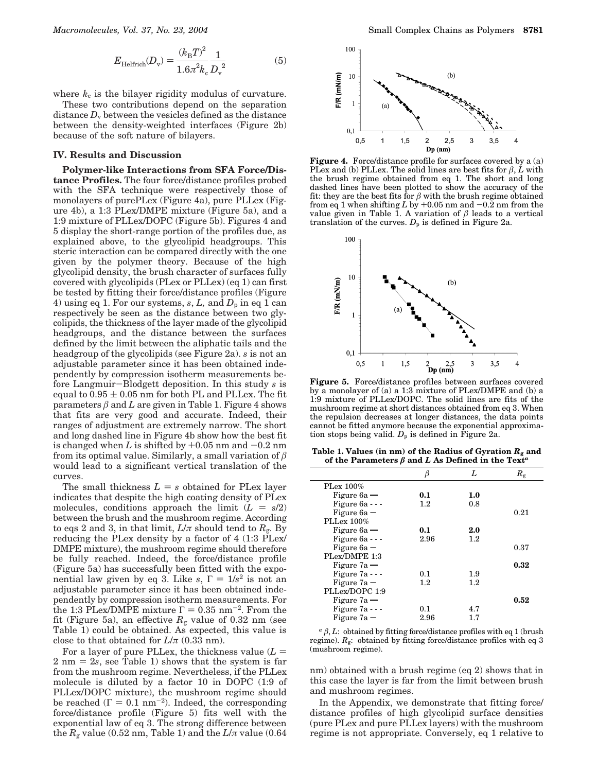$$
E_{\text{Helfrich}}(D_{\rm v}) = \frac{(k_{\rm B}T)^2}{1.6\pi^2 k_{\rm c}} \frac{1}{D_{\rm v}^2}
$$
(5)

where  $k_c$  is the bilayer rigidity modulus of curvature.

These two contributions depend on the separation distance  $D_{\rm v}$  between the vesicles defined as the distance between the density-weighted interfaces (Figure 2b) because of the soft nature of bilayers.

# **IV. Results and Discussion**

**Polymer-like Interactions from SFA Force/Distance Profiles.** The four force/distance profiles probed with the SFA technique were respectively those of monolayers of purePLex (Figure 4a), pure PLLex (Figure 4b), a 1:3 PLex/DMPE mixture (Figure 5a), and a 1:9 mixture of PLLex/DOPC (Figure 5b). Figures 4 and 5 display the short-range portion of the profiles due, as explained above, to the glycolipid headgroups. This steric interaction can be compared directly with the one given by the polymer theory. Because of the high glycolipid density, the brush character of surfaces fully covered with glycolipids (PLex or PLLex) (eq 1) can first be tested by fitting their force/distance profiles (Figure 4) using eq 1. For our systems,  $s, L$ , and  $D<sub>p</sub>$  in eq 1 can respectively be seen as the distance between two glycolipids, the thickness of the layer made of the glycolipid headgroups, and the distance between the surfaces defined by the limit between the aliphatic tails and the headgroup of the glycolipids (see Figure 2a). *s* is not an adjustable parameter since it has been obtained independently by compression isotherm measurements before Langmuir-Blodgett deposition. In this study *<sup>s</sup>* is equal to  $0.95 \pm 0.05$  nm for both PL and PLLex. The fit parameters  $\beta$  and  $L$  are given in Table 1. Figure 4 shows that fits are very good and accurate. Indeed, their ranges of adjustment are extremely narrow. The short and long dashed line in Figure 4b show how the best fit is changed when *L* is shifted by  $+0.05$  nm and  $-0.2$  nm from its optimal value. Similarly, a small variation of  $\beta$ would lead to a significant vertical translation of the curves.

The small thickness  $L = s$  obtained for PLex layer indicates that despite the high coating density of PLex molecules, conditions approach the limit  $(L = s/2)$ between the brush and the mushroom regime. According to eqs 2 and 3, in that limit,  $L/\pi$  should tend to  $R_g$ . By reducing the PLex density by a factor of 4 (1:3 PLex/ DMPE mixture), the mushroom regime should therefore be fully reached. Indeed, the force/distance profile (Figure 5a) has successfully been fitted with the exponential law given by eq 3. Like *s*,  $\Gamma = 1/s^2$  is not an adjustable parameter since it has been obtained independently by compression isotherm measurements. For the 1:3 PLex/DMPE mixture  $\Gamma = 0.35$  nm<sup>-2</sup>. From the fit (Figure 5a), an effective  $R<sub>g</sub>$  value of 0.32 nm (see Table 1) could be obtained. As expected, this value is close to that obtained for  $L/\pi$  (0.33 nm).

For a layer of pure PLLex, the thickness value  $(L =$  $2 \text{ nm} = 2s$ , see Table 1) shows that the system is far from the mushroom regime. Nevertheless, if the PLLex molecule is diluted by a factor 10 in DOPC (1:9 of PLLex/DOPC mixture), the mushroom regime should be reached  $(\Gamma = 0.1 \text{ nm}^{-2})$ . Indeed, the corresponding force/distance profile (Figure 5) fits well with the exponential law of eq 3. The strong difference between the  $R_g$  value (0.52 nm, Table 1) and the  $L/\pi$  value (0.64)



**Figure 4.** Force/distance profile for surfaces covered by a (a) PLex and (b) PLLex. The solid lines are best fits for  $\beta$ ,  $\dot{L}$  with the brush regime obtained from eq 1. The short and long dashed lines have been plotted to show the accuracy of the fit: they are the best fits for  $\beta$  with the brush regime obtained from eq 1 when shifting  $L$  by  $+0.05$  nm and  $-0.2$  nm from the value given in Table 1. A variation of  $\beta$  leads to a vertical translation of the curves.  $D_p$  is defined in Figure 2a.



**Figure 5.** Force/distance profiles between surfaces covered by a monolayer of (a) a 1:3 mixture of PLex/DMPE and (b) a 1:9 mixture of PLLex/DOPC. The solid lines are fits of the mushroom regime at short distances obtained from eq 3. When the repulsion decreases at longer distances, the data points cannot be fitted anymore because the exponential approximation stops being valid.  $D_p$  is defined in Figure 2a.

| Table 1. Values (in nm) of the Radius of Gyration $R_g$ and         |  |  |  |
|---------------------------------------------------------------------|--|--|--|
| of the Parameters $\beta$ and L As Defined in the Text <sup>a</sup> |  |  |  |

|                 | ß       | L       | $R_{\sigma}$ |
|-----------------|---------|---------|--------------|
| PLex $100\%$    |         |         |              |
| Figure $6a$ $-$ | 0.1     | 1.0     |              |
| Figure $6a - -$ | $1.2\,$ | 0.8     |              |
| Figure $6a -$   |         |         | 0.21         |
| PLLex 100%      |         |         |              |
| Figure $6a$ $-$ | 0.1     | 2.0     |              |
| Figure $6a - -$ | 2.96    | $1.2\,$ |              |
| Figure $6a -$   |         |         | 0.37         |
| PLex/DMPE 1:3   |         |         |              |
| Figure $7a$ $-$ |         |         | 0.32         |
| Figure $7a - -$ | 0.1     | 1.9     |              |
| Figure $7a -$   | $1.2\,$ | $1.2\,$ |              |
| PLLex/DOPC 1:9  |         |         |              |
| Figure $7a$ $-$ |         |         | 0.52         |
| Figure $7a - -$ | 0.1     | 4.7     |              |
| Figure $7a -$   | 2.96    | 1.7     |              |

 $a \beta$ , *L*: obtained by fitting force/distance profiles with eq 1 (brush regime).  $R_g$ : obtained by fitting force/distance profiles with eq 3 (mushroom regime).

nm) obtained with a brush regime (eq 2) shows that in this case the layer is far from the limit between brush and mushroom regimes.

In the Appendix, we demonstrate that fitting force/ distance profiles of high glycolipid surface densities (pure PLex and pure PLLex layers) with the mushroom regime is not appropriate. Conversely, eq 1 relative to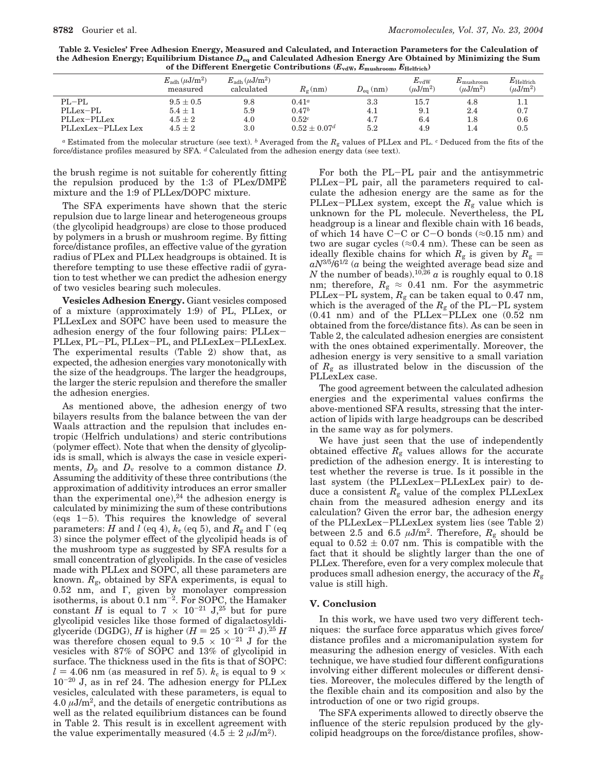**Table 2. Vesicles' Free Adhesion Energy, Measured and Calculated, and Interaction Parameters for the Calculation of the Adhesion Energy; Equilibrium Distance** *D***eq and Calculated Adhesion Energy Are Obtained by Minimizing the Sum of the Different Energetic Contributions (***E***vdW,** *E***mushroom,** *E***Helfrich)**

|                    | $E_{\text{adh}}(\mu J/m^2)$<br>measured | $E_{\rm adh}(\mu J/m^2)$<br>calculated | $R_{\sigma}$ (nm)   | $D_{\text{eq}}\left(\text{nm}\right)$ | $E_{\rm vdW}$<br>$(\mu J/m^2)$ | $\boldsymbol{\mathit{\boldsymbol{\mathit{\omega}}}}$ mushroom<br>$(\mu J/m^2)$ | $E_{\rm Helfrich}$<br>$(\mu J/m^2)$ |
|--------------------|-----------------------------------------|----------------------------------------|---------------------|---------------------------------------|--------------------------------|--------------------------------------------------------------------------------|-------------------------------------|
| $PL-PL$            | $9.5 \pm 0.5$                           | 9.8                                    | $0.41^a$            | 3.3                                   | 15.7                           | 4.8                                                                            | 1.1                                 |
| PLLex-PL           | $5.4 \pm 1$                             | 5.9                                    | $0.47^{b}$          | 4.1                                   | 9.1                            | 2.4                                                                            | 0.7                                 |
| PLLex-PLLex        | $4.5 + 2$                               | 4.0                                    | 0.52 <sup>c</sup>   | 4.7                                   | 6.4                            | 1.8                                                                            | 0.6                                 |
| PLLexLex-PLLex Lex | $4.5 + 2$                               | 3.0                                    | $0.52 \pm 0.07^{d}$ | $5.2\,$                               | 4.9                            | 1.4                                                                            | 0.5                                 |
|                    |                                         |                                        |                     |                                       |                                |                                                                                |                                     |

*<sup>a</sup>* Estimated from the molecular structure (see text). *<sup>b</sup>* Averaged from the *R*<sup>g</sup> values of PLLex and PL. *<sup>c</sup>* Deduced from the fits of the force/distance profiles measured by SFA. *<sup>d</sup>* Calculated from the adhesion energy data (see text).

the brush regime is not suitable for coherently fitting the repulsion produced by the 1:3 of PLex/DMPE mixture and the 1:9 of PLLex/DOPC mixture.

The SFA experiments have shown that the steric repulsion due to large linear and heterogeneous groups (the glycolipid headgroups) are close to those produced by polymers in a brush or mushroom regime. By fitting force/distance profiles, an effective value of the gyration radius of PLex and PLLex headgroups is obtained. It is therefore tempting to use these effective radii of gyration to test whether we can predict the adhesion energy of two vesicles bearing such molecules.

**Vesicles Adhesion Energy.** Giant vesicles composed of a mixture (approximately 1:9) of PL, PLLex, or PLLexLex and SOPC have been used to measure the adhesion energy of the four following pairs: PLLex-PLLex, PL-PL, PLLex-PL, and PLLexLex-PLLexLex. The experimental results (Table 2) show that, as expected, the adhesion energies vary monotonically with the size of the headgroups. The larger the headgroups, the larger the steric repulsion and therefore the smaller the adhesion energies.

As mentioned above, the adhesion energy of two bilayers results from the balance between the van der Waals attraction and the repulsion that includes entropic (Helfrich undulations) and steric contributions (polymer effect). Note that when the density of glycolipids is small, which is always the case in vesicle experiments,  $D_p$  and  $D_v$  resolve to a common distance  $D$ . Assuming the additivity of these three contributions (the approximation of additivity introduces an error smaller than the experimental one), $24$  the adhesion energy is calculated by minimizing the sum of these contributions  $\left(\text{eq}s\ 1-5\right)$ . This requires the knowledge of several parameters: *H* and *l* (eq 4),  $k_c$  (eq 5), and  $R_g$  and  $\Gamma$  (eq 3) since the polymer effect of the glycolipid heads is of the mushroom type as suggested by SFA results for a small concentration of glycolipids. In the case of vesicles made with PLLex and SOPC, all these parameters are known. *R*g, obtained by SFA experiments, is equal to 0.52 nm, and Γ, given by monolayer compression isotherms, is about 0.1 nm-2. For SOPC, the Hamaker constant *H* is equal to  $7 \times 10^{-21}$  J,<sup>25</sup> but for pure glycolipid vesicles like those formed of digalactosyldiglyceride (DGDG), *H* is higher ( $H = 25 \times 10^{-21}$  J).<sup>25</sup> *H* was therefore chosen equal to  $9.5 \times 10^{-21}$  J for the vesicles with 87% of SOPC and 13% of glycolipid in surface. The thickness used in the fits is that of SOPC:  $l = 4.06$  nm (as measured in ref 5).  $k_c$  is equal to 9  $\times$  $10^{-20}$  J, as in ref 24. The adhesion energy for PLLex vesicles, calculated with these parameters, is equal to 4.0 *µ*J/m2, and the details of energetic contributions as well as the related equilibrium distances can be found in Table 2. This result is in excellent agreement with the value experimentally measured  $(4.5 \pm 2 \,\mu\text{J/m}^2)$ .

For both the PL-PL pair and the antisymmetric PLLex-PL pair, all the parameters required to calculate the adhesion energy are the same as for the PLLex-PLLex system, except the  $R<sub>g</sub>$  value which is unknown for the PL molecule. Nevertheless, the PL headgroup is a linear and flexible chain with 16 beads, of which 14 have C-C or C-O bonds ( $\approx 0.15$  nm) and two are sugar cycles  $(\approx 0.4 \text{ nm})$ . These can be seen as ideally flexible chains for which  $R_g$  is given by  $R_g$  = *aN*3/5/61/2 (*a* being the weighted average bead size and *N* the number of beads).<sup>10,26</sup>  $a$  is roughly equal to 0.18 nm; therefore,  $R_{\rm g} \approx 0.41$  nm. For the asymmetric PLLex-PL system,  $R_g$  can be taken equal to 0.47 nm, which is the averaged of the  $R_{\rm g}$  of the PL-PL system (0.41 nm) and of the PLLex-PLLex one (0.52 nm obtained from the force/distance fits). As can be seen in Table 2, the calculated adhesion energies are consistent with the ones obtained experimentally. Moreover, the adhesion energy is very sensitive to a small variation of *R*<sup>g</sup> as illustrated below in the discussion of the PLLexLex case.

The good agreement between the calculated adhesion energies and the experimental values confirms the above-mentioned SFA results, stressing that the interaction of lipids with large headgroups can be described in the same way as for polymers.

We have just seen that the use of independently obtained effective  $R_g$  values allows for the accurate prediction of the adhesion energy. It is interesting to test whether the reverse is true. Is it possible in the last system (the PLLexLex-PLLexLex pair) to deduce a consistent  $R_g$  value of the complex PLLexLex chain from the measured adhesion energy and its calculation? Given the error bar, the adhesion energy of the PLLexLex-PLLexLex system lies (see Table 2) between 2.5 and 6.5 *µ*J/m2. Therefore, *R*<sup>g</sup> should be equal to  $0.52 \pm 0.07$  nm. This is compatible with the fact that it should be slightly larger than the one of fact that it should be slightly larger than the one of PLLex. Therefore, even for a very complex molecule that produces small adhesion energy, the accuracy of the *R*<sup>g</sup> value is still high.

### **V. Conclusion**

In this work, we have used two very different techniques: the surface force apparatus which gives force/ distance profiles and a micromanipulation system for measuring the adhesion energy of vesicles. With each technique, we have studied four different configurations involving either different molecules or different densities. Moreover, the molecules differed by the length of the flexible chain and its composition and also by the introduction of one or two rigid groups.

The SFA experiments allowed to directly observe the influence of the steric repulsion produced by the glycolipid headgroups on the force/distance profiles, show-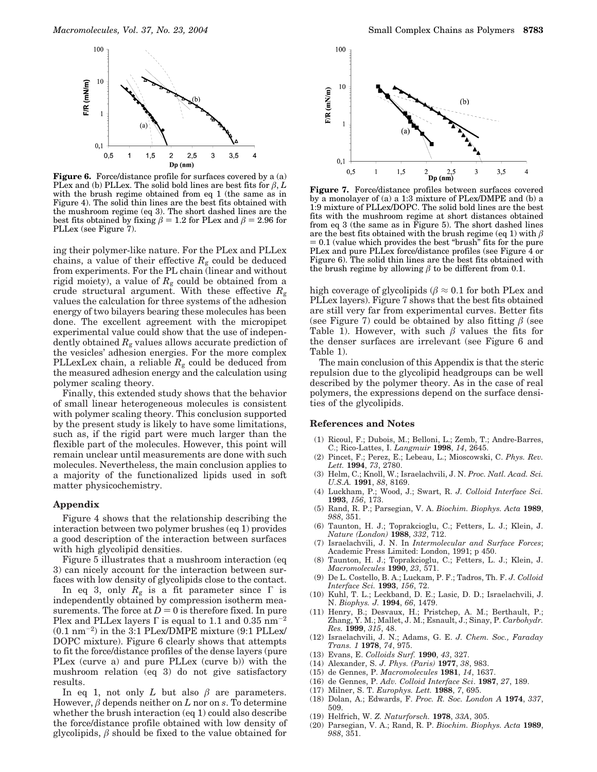

Figure 6. Force/distance profile for surfaces covered by a (a) PLex and (b) PLLex. The solid bold lines are best fits for  $\beta$ ,  $L$ with the brush regime obtained from eq 1 (the same as in Figure 4). The solid thin lines are the best fits obtained with the mushroom regime (eq 3). The short dashed lines are the best fits obtained by fixing  $\beta = 1.2$  for PLex and  $\beta = 2.96$  for PLLex (see Figure 7).

ing their polymer-like nature. For the PLex and PLLex chains, a value of their effective  $R<sub>g</sub>$  could be deduced from experiments. For the PL chain (linear and without rigid moiety), a value of  $R<sub>g</sub>$  could be obtained from a crude structural argument. With these effective  $R_{\rm g}$ values the calculation for three systems of the adhesion energy of two bilayers bearing these molecules has been done. The excellent agreement with the micropipet experimental value could show that the use of independently obtained *R*<sup>g</sup> values allows accurate prediction of the vesicles' adhesion energies. For the more complex PLLexLex chain, a reliable  $R_g$  could be deduced from the measured adhesion energy and the calculation using polymer scaling theory.

Finally, this extended study shows that the behavior of small linear heterogeneous molecules is consistent with polymer scaling theory. This conclusion supported by the present study is likely to have some limitations, such as, if the rigid part were much larger than the flexible part of the molecules. However, this point will remain unclear until measurements are done with such molecules. Nevertheless, the main conclusion applies to a majority of the functionalized lipids used in soft matter physicochemistry.

## **Appendix**

Figure 4 shows that the relationship describing the interaction between two polymer brushes (eq 1) provides a good description of the interaction between surfaces with high glycolipid densities.

Figure 5 illustrates that a mushroom interaction (eq 3) can nicely account for the interaction between surfaces with low density of glycolipids close to the contact.

In eq 3, only  $R_g$  is a fit parameter since  $\Gamma$  is independently obtained by compression isotherm measurements. The force at  $D = 0$  is therefore fixed. In pure Plex and PLLex layers  $\Gamma$  is equal to 1.1 and 0.35 nm<sup>-2</sup>  $(0.1 \text{ nm}^{-2})$  in the 3:1 PLex/DMPE mixture  $(9.1 \text{ PLLex}/)$ DOPC mixture). Figure 6 clearly shows that attempts to fit the force/distance profiles of the dense layers (pure PLex (curve a) and pure PLLex (curve b)) with the mushroom relation (eq 3) do not give satisfactory results.

In eq 1, not only *L* but also  $\beta$  are parameters. However,  $\beta$  depends neither on  $L$  nor on  $s$ . To determine whether the brush interaction (eq 1) could also describe the force/distance profile obtained with low density of glycolipids, *â* should be fixed to the value obtained for



**Figure 7.** Force/distance profiles between surfaces covered by a monolayer of (a) a 1:3 mixture of PLex/DMPE and (b) a 1:9 mixture of PLLex/DOPC. The solid bold lines are the best fits with the mushroom regime at short distances obtained from eq 3 (the same as in Figure 5). The short dashed lines are the best fits obtained with the brush regime (eq 1) with  $\beta$  $= 0.1$  (value which provides the best "brush" fits for the pure PLex and pure PLLex force/distance profiles (see Figure 4 or Figure 6). The solid thin lines are the best fits obtained with the brush regime by allowing  $\beta$  to be different from 0.1.

high coverage of glycolipids ( $\beta \approx 0.1$  for both PLex and PLLex layers). Figure 7 shows that the best fits obtained are still very far from experimental curves. Better fits (see Figure 7) could be obtained by also fitting  $\beta$  (see Table 1). However, with such  $\beta$  values the fits for the denser surfaces are irrelevant (see Figure 6 and Table 1).

The main conclusion of this Appendix is that the steric repulsion due to the glycolipid headgroups can be well described by the polymer theory. As in the case of real polymers, the expressions depend on the surface densities of the glycolipids.

### **References and Notes**

- (1) Ricoul, F.; Dubois, M.; Belloni, L.; Zemb, T.; Andre-Barres, C.; Rico-Lattes, I. *Langmuir* **1998**, *14*, 2645.
- (2) Pincet, F.; Perez, E.; Lebeau, L.; Mioscowski, C. *Phys. Rev. Lett.* **1994**, *73*, 2780.
- (3) Helm, C.; Knoll, W.; Israelachvili, J. N. *Proc. Natl. Acad. Sci. U.S.A.* **1991**, *88*, 8169.
- (4) Luckham, P.; Wood, J.; Swart, R. *J. Colloid Interface Sci.* **1993**, *156*, 173.
- (5) Rand, R. P.; Parsegian, V. A. *Biochim. Biophys. Acta* **1989**, *988*, 351.
- (6) Taunton, H. J.; Toprakcioglu, C.; Fetters, L. J.; Klein, J. *Nature (London)* **1988**, *332*, 712.
- (7) Israelachvili, J. N. In *Intermolecular and Surface Forces*; Academic Press Limited: London, 1991; p 450.
- (8) Taunton, H. J.; Toprakcioglu, C.; Fetters, L. J.; Klein, J. *Macromolecules* **1990**, *23*, 571.
- (9) De L. Costello, B. A.; Luckam, P. F.; Tadros, Th. F. *J. Colloid Interface Sci.* **1993**, *156*, 72.
- (10) Kuhl, T. L.; Leckband, D. E.; Lasic, D. D.; Israelachvili, J. N. *Biophys. J.* **1994**, *66*, 1479.
- (11) Henry, B.; Desvaux, H.; Pristchep, A. M.; Berthault, P.; Zhang, Y. M.; Mallet, J. M.; Esnault, J.; Sinay, P. *Carbohydr. Res.* **1999**, *315*, 48.
- (12) Israelachvili, J. N.; Adams, G. E. *J. Chem. Soc., Faraday Trans. 1* **1978**, *74*, 975.
- (13) Evans, E. *Colloids Surf.* **1990**, *43*, 327.
- (14) Alexander, S. *J. Phys. (Paris)* **1977**, *38*, 983.
- (15) de Gennes, P. *Macromolecules* **1981**, *14*, 1637.
- (16) de Gennes, P. *Adv. Colloid Interface Sci*. **1987**, *27*, 189.
- (17) Milner, S. T. *Europhys. Lett.* **1988**, *7*, 695.
- (18) Dolan, A.; Edwards, F. *Proc. R. Soc. London A* **1974**, *337*, 509.
- (19) Helfrich, W. *Z. Naturforsch.* **1978**, *33A*, 305.
- (20) Parsegian, V. A.; Rand, R. P. *Biochim. Biophys. Acta* **1989**, *988*, 351.